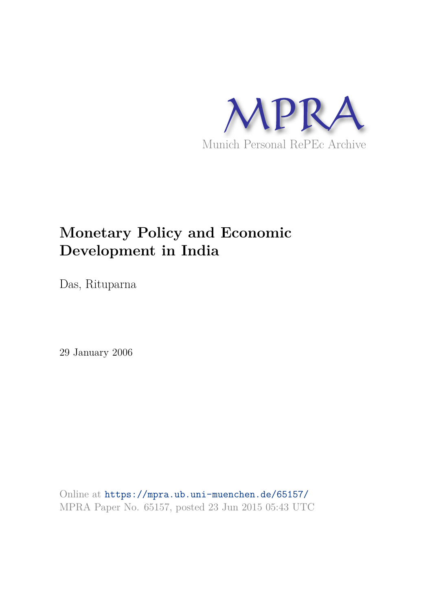

## **Monetary Policy and Economic Development in India**

Das, Rituparna

29 January 2006

Online at https://mpra.ub.uni-muenchen.de/65157/ MPRA Paper No. 65157, posted 23 Jun 2015 05:43 UTC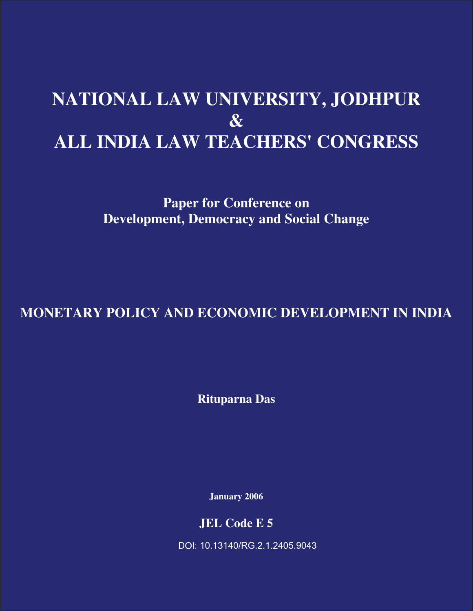# **NATIONAL LAW UNIVERSITY, JODHPUR & ALL INDIA LAW TEACHERS' CONGRESS**

**Paper for Conference on Development, Democracy and Social Change** 

**MONETARY POLICY AND ECONOMIC DEVELOPMENT IN INDIA** 

**Rituparna Das** 

**January 2006** 

**JEL Code E 5** 

DOI: 10.13140/RG.2.1.2405.9043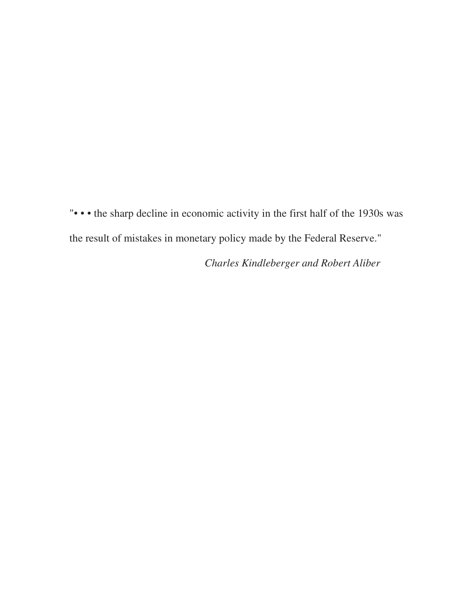"• • • the sharp decline in economic activity in the first half of the 1930s was the result of mistakes in monetary policy made by the Federal Reserve."

*Charles Kindleberger and Robert Aliber*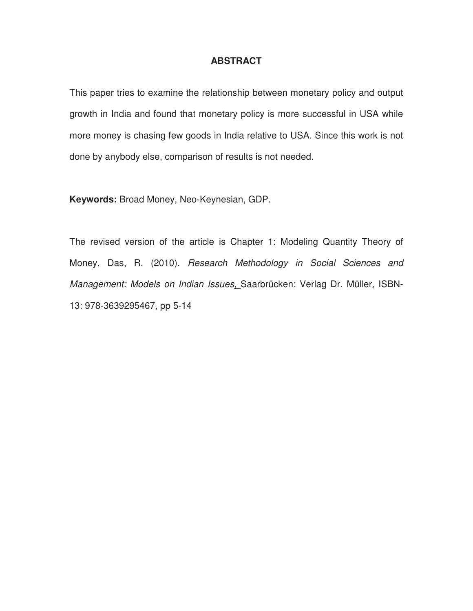## **ABSTRACT**

This paper tries to examine the relationship between monetary policy and output growth in India and found that monetary policy is more successful in USA while more money is chasing few goods in India relative to USA. Since this work is not done by anybody else, comparison of results is not needed.

**Keywords:** Broad Money, Neo-Keynesian, GDP.

The revised version of the article is Chapter 1: Modeling Quantity Theory of Money, Das, R. (2010). Research Methodology in Social Sciences and Management: Models on Indian Issues, Saarbrücken: Verlag Dr. Müller, ISBN-13: 978-3639295467, pp 5-14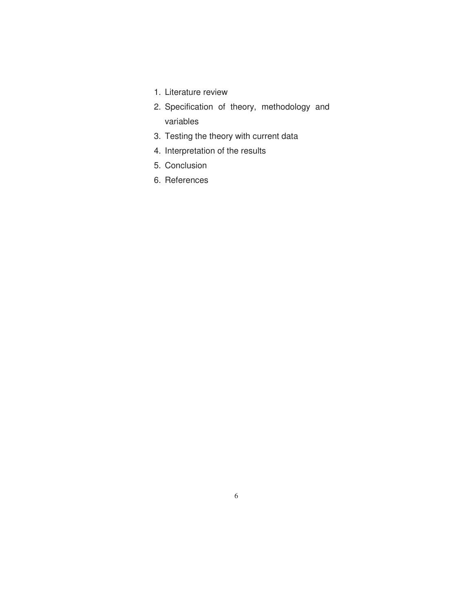- 1. Literature review
- 2. Specification of theory, methodology and variables
- 3. Testing the theory with current data
- 4. Interpretation of the results
- 5. Conclusion
- 6. References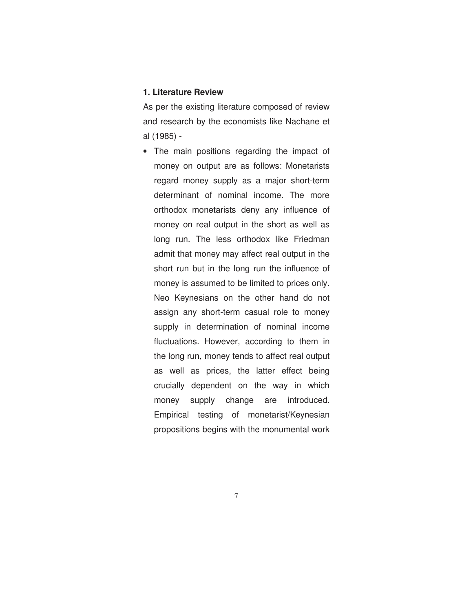#### **1. Literature Review**

As per the existing literature composed of review and research by the economists like Nachane et al (1985) -

• The main positions regarding the impact of money on output are as follows: Monetarists regard money supply as a major short-term determinant of nominal income. The more orthodox monetarists deny any influence of money on real output in the short as well as long run. The less orthodox like Friedman admit that money may affect real output in the short run but in the long run the influence of money is assumed to be limited to prices only. Neo Keynesians on the other hand do not assign any short-term casual role to money supply in determination of nominal income fluctuations. However, according to them in the long run, money tends to affect real output as well as prices, the latter effect being crucially dependent on the way in which money supply change are introduced. Empirical testing of monetarist/Keynesian propositions begins with the monumental work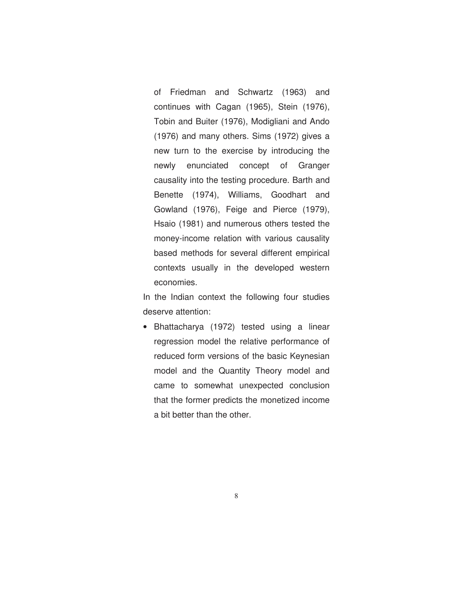of Friedman and Schwartz (1963) and continues with Cagan (1965), Stein (1976), Tobin and Buiter (1976), Modigliani and Ando (1976) and many others. Sims (1972) gives a new turn to the exercise by introducing the newly enunciated concept of Granger causality into the testing procedure. Barth and Benette (1974), Williams, Goodhart and Gowland (1976), Feige and Pierce (1979), Hsaio (1981) and numerous others tested the money-income relation with various causality based methods for several different empirical contexts usually in the developed western economies.

In the Indian context the following four studies deserve attention:

• Bhattacharya (1972) tested using a linear regression model the relative performance of reduced form versions of the basic Keynesian model and the Quantity Theory model and came to somewhat unexpected conclusion that the former predicts the monetized income a bit better than the other.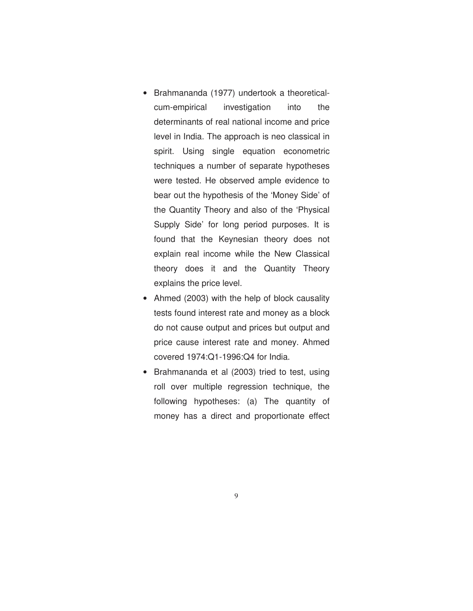- Brahmananda (1977) undertook a theoreticalcum-empirical investigation into the determinants of real national income and price level in India. The approach is neo classical in spirit. Using single equation econometric techniques a number of separate hypotheses were tested. He observed ample evidence to bear out the hypothesis of the 'Money Side' of the Quantity Theory and also of the 'Physical Supply Side' for long period purposes. It is found that the Keynesian theory does not explain real income while the New Classical theory does it and the Quantity Theory explains the price level.
- Ahmed (2003) with the help of block causality tests found interest rate and money as a block do not cause output and prices but output and price cause interest rate and money. Ahmed covered 1974:Q1-1996:Q4 for India.
- Brahmananda et al (2003) tried to test, using roll over multiple regression technique, the following hypotheses: (a) The quantity of money has a direct and proportionate effect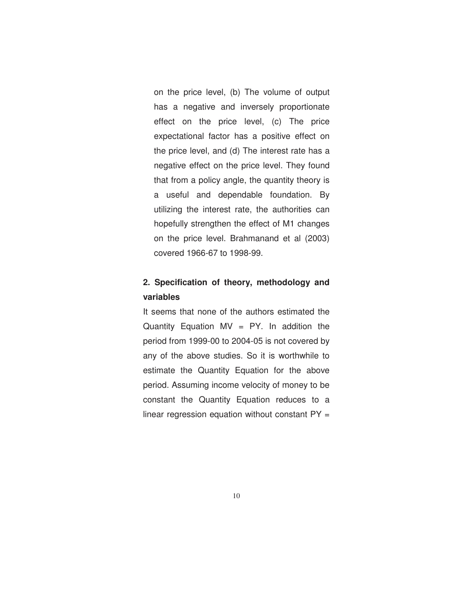on the price level, (b) The volume of output has a negative and inversely proportionate effect on the price level, (c) The price expectational factor has a positive effect on the price level, and (d) The interest rate has a negative effect on the price level. They found that from a policy angle, the quantity theory is a useful and dependable foundation. By utilizing the interest rate, the authorities can hopefully strengthen the effect of M1 changes on the price level. Brahmanand et al (2003) covered 1966-67 to 1998-99.

## **2. Specification of theory, methodology and variables**

It seems that none of the authors estimated the Quantity Equation  $MV = PY$ . In addition the period from 1999-00 to 2004-05 is not covered by any of the above studies. So it is worthwhile to estimate the Quantity Equation for the above period. Assuming income velocity of money to be constant the Quantity Equation reduces to a linear regression equation without constant  $PY =$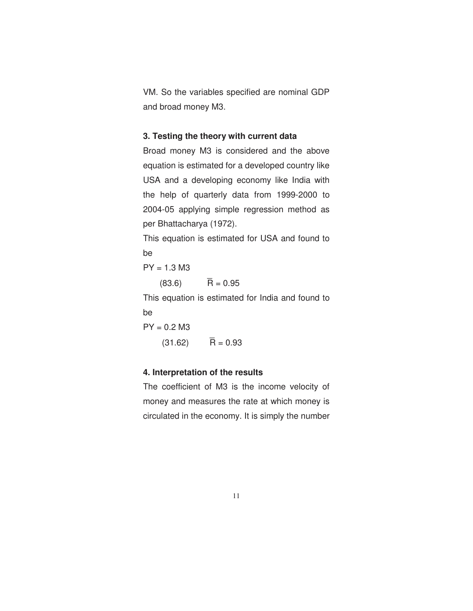VM. So the variables specified are nominal GDP and broad money M3.

## **3. Testing the theory with current data**

Broad money M3 is considered and the above equation is estimated for a developed country like USA and a developing economy like India with the help of quarterly data from 1999-2000 to 2004-05 applying simple regression method as per Bhattacharya (1972).

This equation is estimated for USA and found to be

 $PY = 1.3 M3$ 

 $(83.6)$   $\overline{R} = 0.95$ 

This equation is estimated for India and found to be

 $PY = 0.2 M3$  $(31.62)$   $\bar{R} = 0.93$ 

## **4. Interpretation of the results**

The coefficient of M3 is the income velocity of money and measures the rate at which money is circulated in the economy. It is simply the number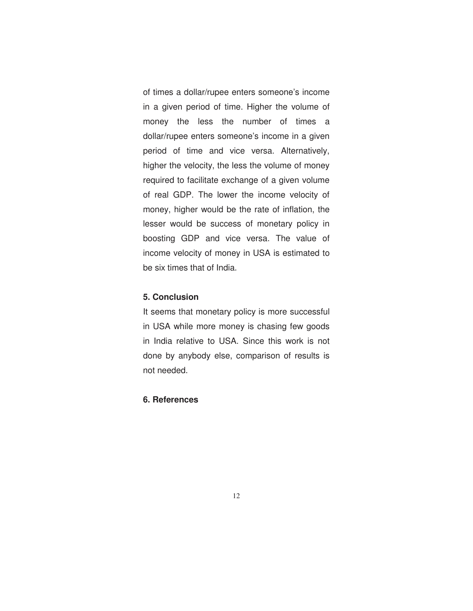of times a dollar/rupee enters someone's income in a given period of time. Higher the volume of money the less the number of times a dollar/rupee enters someone's income in a given period of time and vice versa. Alternatively, higher the velocity, the less the volume of money required to facilitate exchange of a given volume of real GDP. The lower the income velocity of money, higher would be the rate of inflation, the lesser would be success of monetary policy in boosting GDP and vice versa. The value of income velocity of money in USA is estimated to be six times that of India.

## **5. Conclusion**

It seems that monetary policy is more successful in USA while more money is chasing few goods in India relative to USA. Since this work is not done by anybody else, comparison of results is not needed.

### **6. References**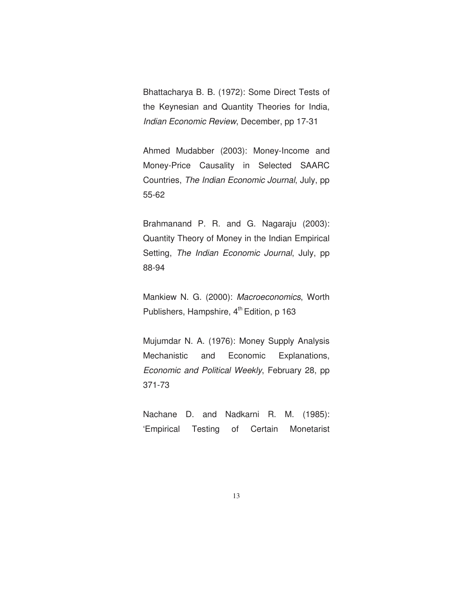Bhattacharya B. B. (1972): Some Direct Tests of the Keynesian and Quantity Theories for India, *Indian Economic Review*, December, pp 17-31

Ahmed Mudabber (2003): Money-Income and Money-Price Causality in Selected SAARC Countries, *The Indian Economic Journal*, July, pp 55-62

Brahmanand P. R. and G. Nagaraju (2003): Quantity Theory of Money in the Indian Empirical Setting, *The Indian Economic Journal*, July, pp 88-94

Mankiew N. G. (2000): *Macroeconomics*, Worth Publishers, Hampshire, 4<sup>th</sup> Edition, p 163

Mujumdar N. A. (1976): Money Supply Analysis Mechanistic and Economic Explanations, *Economic and Political Weekly*, February 28, pp 371-73

Nachane D. and Nadkarni R. M. (1985): 'Empirical Testing of Certain Monetarist